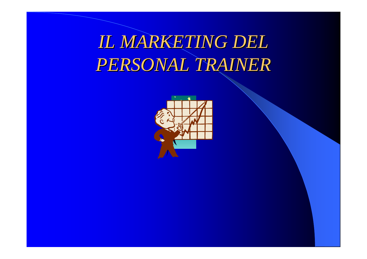### *IL MARKETING DEL IL MARKETING DEL PERSONAL TRAINER PERSONAL TRAINER*

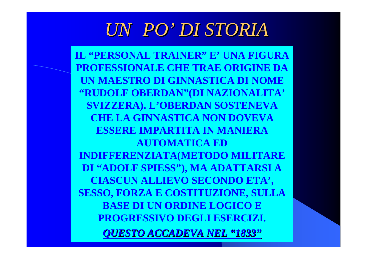### *UN PO' DI STORIA DI STORIA*

**IL "PERSONAL TRAINER" E' UNA FIGURA PROFESSIONALE CHE TRAE ORIGINE DA UN MAESTRO DI GINNASTICA DI NOME "RUDOLF OBERDAN"(DI NAZIONALITA' SVIZZERA). L'OBERDAN SOSTENEVA CHE LA GINNASTICA NON DOVEVA ESSERE IMPARTITA IN MANIERA AUTOMATICA ED INDIFFERENZIATA(METODO MILITARE DI "ADOLF SPIESS"), MA ADATTARSI A CIASCUN ALLIEVO SECONDO ETA', SESSO, FORZA E COSTITUZIONE, SULLA BASE DI UN ORDINE LOGICO E PROGRESSIVO DEGLI ESERCIZI.** *QUESTO ACCADEVA NEL QUESTO ACCADEVA NEL "1833"*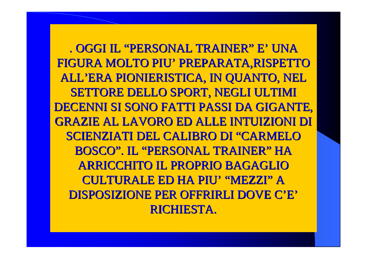. OGGI IL "PERSONAL TRAINER" E' UNA FIGURA MOLTO PIU' PREPARATA, RISPETTO ALL'ERA PIONIERISTICA, IN QUANTO, NEL SETTORE DELLO SPORT, NEGLI ULTIMI DECENNI SI SONO FATTI PASSI DA GIGANTE, GRAZIE AL LAVORO ED ALLE INTUIZIONI DI GRAZIE AL LAVORO ED ALLE INTUIZIONI DI SCIENZIATI DEL CALIBRO DI "CARMELO BOSCO". IL "PERSONAL TRAINER" HA ARRICCHITO IL PROPRIO BAGAGLIO CULTURALE ED HA PIU' "MEZZI" A DISPOSIZIONE PER OFFRIRLI DOVE C'E' RICHIESTA.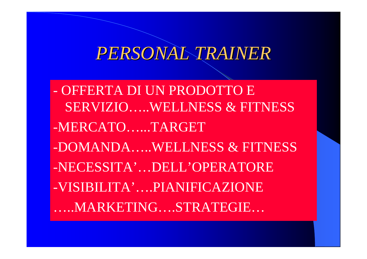### *PERSONAL TRAINER PERSONAL TRAINER*

- OFFERTA DI UN PRODOTTO E SERVIZIO…..WELLNESS & FITNESS-MERCATO…...TARGET -DOMANDA…..WELLNESS & FITNESS-NECESSITA'…DELL'OPERATORE-VISIBILITA'….PIANIFICAZIONE …..MARKETING….STRATEGIE…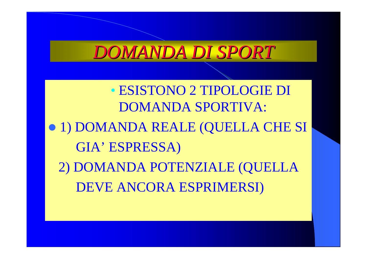### *DOMANDA DI SPORT DOMANDA DI SPORT*

• ESISTONO 2 TIPOLOGIE DI DOMANDA SPORTIVA: z 1) DOMANDA REALE (QUELLA CHE SI GIA' ESPRESSA) 2) DOMANDA POTENZIALE (QUELLA DEVE ANCORA ESPRIMERSI)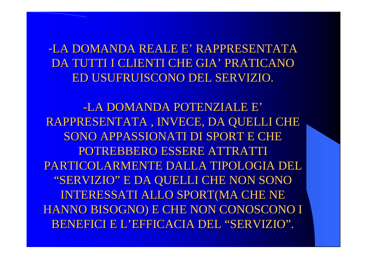-LA DOMANDA REALE E' RAPPRESENTATA DA TUTTI I CLIENTI CHE GIA' PRATICANO ED USUFRUISCONO DEL SERVIZIO. ED USUFRUISCONO DEL SERVIZIO.

-LA DOMANDA POTENZIALE E' RAPPRESENTATA , INVECE, DA QUELLI CHE RAPPRESENTATA , INVECE, DA QUELLI CHE SONO APPASSIONATI DI SPORT E CHE POTREBBERO ESSERE ATTRATTI POTREBBERO ESSERE ATTRATTI PARTICOLARMENTE DALLA TIPOLOGIA DEL PARTICOLARMENTE DALLA TIPOLOGIA DEL "SERVIZIO" E DA QUELLI CHE NON SONO INTERESSATI ALLO SPORT(MA CHE NE HANNO BISOGNO) E CHE NON CONOSCONO I HANNO BISOGNO) E CHE NON CONOSCONO I BENEFICI E L'EFFICACIA DEL "SERVIZIO".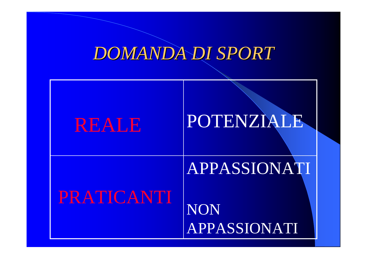### *DOMANDA DI SPORT DOMANDA DI SPORT*

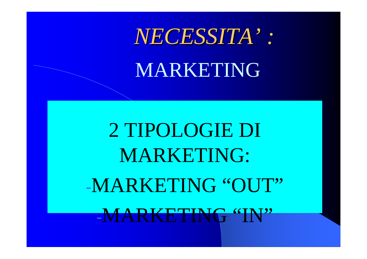# NECESSITA': MARKETING

2 TIPOLOGIE DI **MARKETING:** -MARKETING "OUT" -MARKETING "IN"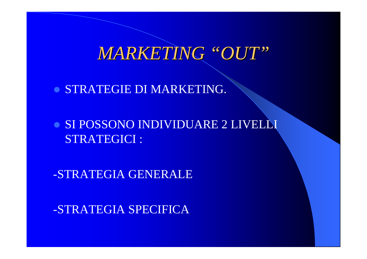*MARKETING MARKETING "OUT "*

**• STRATEGIE DI MARKETING.** 

**• SI POSSONO INDIVIDUARE 2 LIVELLI** STRATEGICI :

-STRATEGIA GENERALE

-STRATEGIA SPECIFICA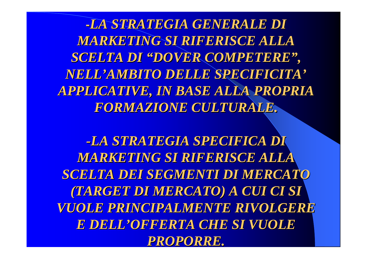**-***LA STRATEGIA GENERALE DI LA STRATEGIA GENERALE DI MARKETING SI RIFERISCE ALLA MARKETING SI RIFERISCE ALLA SCELTA DI SCELTA DI "DOVER COMPETERE DOVER COMPETERE", NELL'AMBITO DELLE SPECIFICITA AMBITO DELLE SPECIFICITA' APPLICATIVE, IN BASE ALLA PROPRIA APPLICATIVE, IN BASE ALLA PROPRIA FORMAZIONE CULTURALE. FORMAZIONE CULTURALE.*

*-LA STRATEGIA SPECIFICA DI LA STRATEGIA SPECIFICA DI MARKETING SI RIFERISCE ALLA MARKETING SI RIFERISCE ALLA SCELTA DEI SEGMENTI DI MERCATO SCELTA DEI SEGMENTI DI MERCATO (TARGET DI MERCATO) A CUI CI SI (TARGET DI MERCATO) A CUI CI SI VUOLE PRINCIPALMENTE RIVOLGERE VUOLE PRINCIPALMENTE RIVOLGERE*  **E DELL'OFFERTA CHE SI VUOLE** *PROPORRE. PROPORRE.*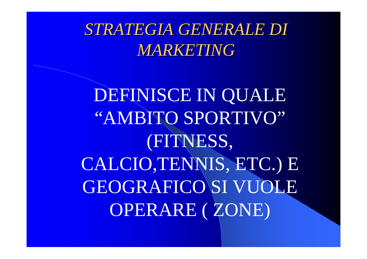*STRATEGIA GENERALE DI STRATEGIA GENERALE DI MARKETING MARKETING*

DEFINISCE IN QUALE "AMBITO SPORTIVO" (FITNESS, CALCIO,TENNIS, ETC.) E GEOGRAFICO SI VUOLE OPERARE ( ZONE)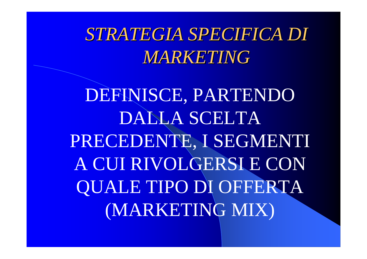*STRATEGIA SPECIFICA DI STRATEGIA SPECIFICA DI MARKETING MARKETING*

DEFINISCE, PARTENDO DALLA SCELTA PRECEDENTE, I SEGMENTI A CUI RIVOLGERSI E CON QUALE TIPO DI OFFERTA (MARKETING MIX)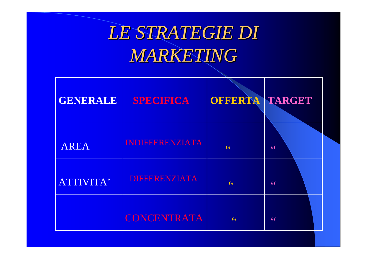### *LE STRATEGIE DI LE STRATEGIE DI MARKETING MARKETING*

| GENERALE    | <b>SPECIFICA</b>       | OFFERTA TARGET |    |
|-------------|------------------------|----------------|----|
| <b>AREA</b> | <b>INDIFFERENZIATA</b> | 66             | 66 |
| ATTIVITA'   | <b>DIFFERENZIATA</b>   | 66             | 66 |
|             | <b>CONCENTRATA</b>     | 66             | 66 |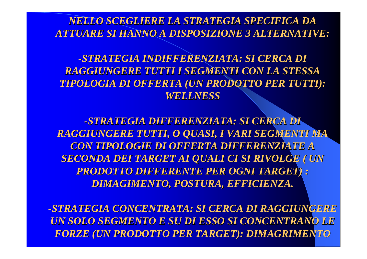*NELLO SCEGLIERE LA STRATEGIA SPECIFICA DA NELLO SCEGLIERE LA STRATEGIA SPECIFICA DA ATTUARE SI HANNO A DISPOSIZIONE 3 ALTERNATIVE: ATTUARE SI HANNO A DISPOSIZIONE 3 ALTERNATIVE:*

*-STRATEGIA INDIFFERENZIATA: SI CERCA DI STRATEGIA INDIFFERENZIATA: SI CERCA DI RAGGIUNGERE TUTTI I SEGMENTI CON LA STESSA RAGGIUNGERE TUTTI I SEGMENTI CON LA STESSA TIPOLOGIA DI OFFERTA (UN PRODOTTO PER TUTTI): TIPOLOGIA DI OFFERTA (UN PRODOTTO PER TUTTI): WELLNESS WELLNESS*

*-STRATEGIA DIFFERENZIATA: SI CERCA DI STRATEGIA DIFFERENZIATA: SI CERCA DI RAGGIUNGERE TUTTI, O QUASI, I VARI SEGMENTI MA RAGGIUNGERE TUTTI, O QUASI, I VARI SEGMENTI MA CON TIPOLOGIE DI OFFERTA DIFFERENZIATE A CON TIPOLOGIE DI OFFERTA DIFFERENZIATE A SECONDA DEI TARGET AI QUALI CI SI RIVOLGE ( UN SECONDA DEI TARGET AI QUALI CI SI RIVOLGE ( UN PRODOTTO DIFFERENTE PER OGNI TARGET) : PRODOTTO DIFFERENTE PER OGNI TARGET) : DIMAGIMENTO, POSTURA, EFFICIENZA. DIMAGIMENTO, POSTURA, EFFICIENZA.*

*-STRATEGIA CONCENTRATA: SI CERCA DI RAGGIUNGERE STRATEGIA CONCENTRATA: SI CERCA DI RAGGIUNGERE UN SOLO SEGMENTO E SU DI ESSO SI CONCENTRANO LE UN SOLO SEGMENTO E SU DI ESSO SI CONCENTRANO LE FORZE (UN PRODOTTO PER TARGET): DIMAGRIMENTO FORZE (UN PRODOTTO PER TARGET): DIMAGRIMENTO*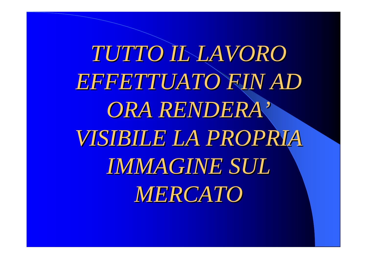*TUTTO IL LAVORO TUTTO IL LAVORO EFFETTUATO FIN AD EFFETTUATO FIN AD*   $ORA$   $RENDERA$   $^{\prime}$ *VISIBILE LA PROPRIA VISIBILE LA PROPRIA IMMAGINE SUL IMMAGINE SUL MERCATO MERCATO*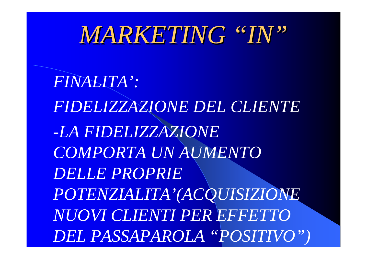## *MARKETING MARKETING "IN "*

*FINALITA': FIDELIZZAZIONE DEL CLIENTE -LA FIDELIZZAZIONE COMPORTA UN AUMENTO DELLE PROPRIE POTENZIALITA'(ACQUISIZIONE NUOVI CLIENTI PER EFFETTO DEL PASSAPAROLA "POSITIVO")*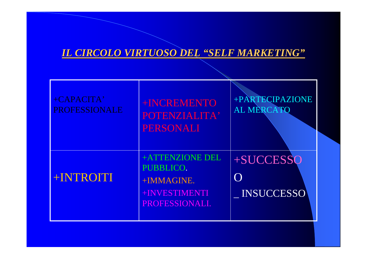#### *IL CIRCOLO VIRTUOSO DEL "SELF MARKETING "*

| +CAPACITA'<br><b>PROFESSIONALE</b> | +INCREMENTO<br>POTENZIALITA'<br><b>PERSONALI</b>                              | +PARTECIPAZIONE<br><b>AL MERCATO</b> |
|------------------------------------|-------------------------------------------------------------------------------|--------------------------------------|
| +INTROITI                          | +ATTENZIONE DEL<br>PUBBLICO.<br>+IMMAGINE.<br>+INVESTIMENTI<br>PROFESSIONALI. | +SUCCESSO<br><b>INSUCCESSO</b>       |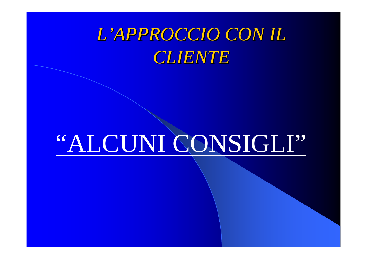### L'APPROCCIO CON IL **CLIENTE**

# "ALCUNI CONSIGLI"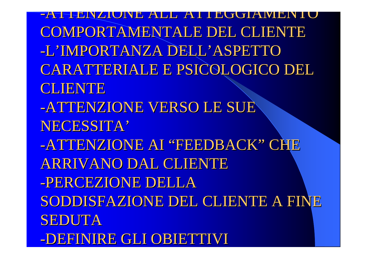-ATTENZIONE ALL'ATTEGGIAMENTO COMPORTAMENTALE DEL CLIENTE -L'IMPORTANZA DELL'ASPETTO CARATTERIALE E PSICOLOGICO DEL CARATTERIALE E PSICOLOGICO DEL **CLIENTE** -ATTENZIONE VERSO LE SUE NECESSITA' -ATTENZIONE AI "FEEDBACK" CHE ARRIVANO DAL CLIENTE -PERCEZIONE DELLA SODDISFAZIONE DEL CLIENTE A FINE SEDUTA -DEFINIRE GLI OBIETTIVI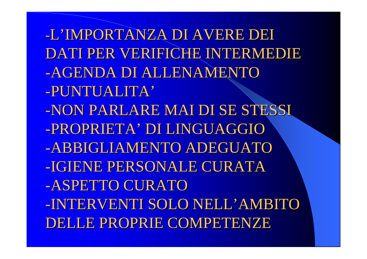-L'IMPORTANZA DI AVERE DEI DATI PER VERIFICHE INTERMEDIE -AGENDA DI ALLENAMENTO -PUNTUALITA' -NON PARLARE MAI DI SE STESSI -PROPRIETA' DI LINGUAGGIO -ABBIGLIAMENTO ADEGUATO -IGIENE PERSONALE CURATA -ASPETTO CURATO -INTERVENTI SOLO NELL'AMBITO DELLE PROPRIE COMPETENZE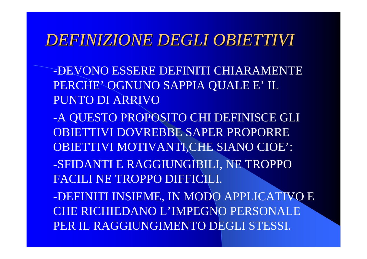### DEEINIZIONE DEGLI OBIETTIVI

-DEVONO ESSERE DEFINITI CHIARAMENTE PERCHE' OGNUNO SAPPIA QUALE E' IL PUNTO DI ARRIVO

-A QUESTO PROPOSITO CHI DEFINISCE GLI OBJETTIVI DOVREBBE SAPER PROPORRE **OBIETTIVI MOTIVANTI,CHE SIANO CIOE':** -SFIDANTI E RAGGIUNGIBILI, NE TROPPO **FACILI NE TROPPO DIFFICILI.** 

-DEFINITI INSIEME, IN MODO APPLICATIVO E **CHE RICHIEDANO L'IMPEGNO PERSONALE** PER IL RAGGIUNGIMENTO DEGLI STESSI.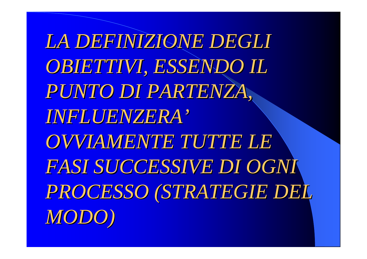*LA DEFINIZIONE DEGLI LA DEFINIZIONE DEGLI*  **OBIETTIVI, ESSENDO IL** *PUNTO DI PARTENZA, PUNTO DI PARTENZA, INFLUENZERA INFLUENZERA 'OVVIAMENTE TUTTE LE OVVIAMENTE TUTTE LE FASI SUCCESSIVE DI OGNI FASI SUCCESSIVE DI OGNI PROCESSO (STRATEGIE DEL PROCESSO (STRATEGIE DEL MODO)*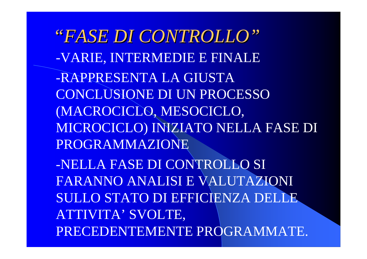*"FASE DI CONTROLLO FASE DI CONTROLLO"* -VARIE, INTERMEDIE E FINALE -RAPPRESENTA LA GIUSTA CONCLUSIONE DI UN PROCESSO (MACROCICLO, MESOCICLO, MICROCICLO) INIZIATO NELLA FASE DI PROGRAMMAZIONE-NELLA FASE DI CONTROLLO SI FARANNO ANALISI E VALUTAZIONI SULLO STATO DI EFFICIENZA DELLE ATTIVITA' SVOLTE, PRECEDENTEMENTE PROGRAMMATE.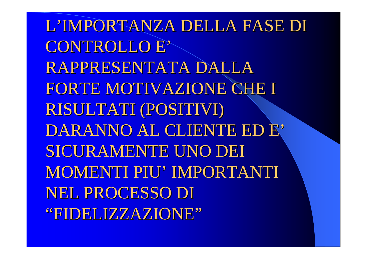L'IMPORTANZA DELLA FASE DI CONTROLLO E' RAPPRESENTATA DALLA FORTE MOTIVAZIONE CHE I RISULTATI (POSITIVI) DARANNO AL CLIENTE ED E' SICURAMENTE UNO DEI MOMENTI PIU' IMPORTANTI NEL PROCESSO DI "FIDELIZZAZIONE"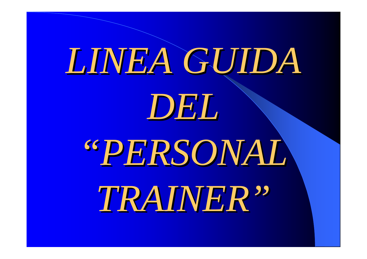# *LINEA GUIDA LINEA GUIDA DEL"PERSONAL PERSONAL TRAINER TRAINER "*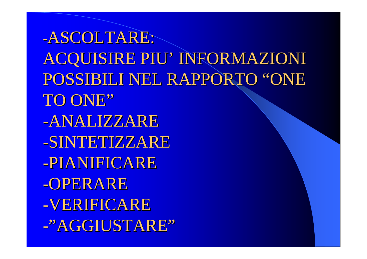-ASCOLTARE: ACQUISIRE PIU' INFORMAZIONI POSSIBILI NEL RAPPORTO "ONE TO ONE" -ANALIZZARE -SINTETIZZARE -PIANIFICARE -OPERARE -VERIFICARE -"AGGIUSTARE"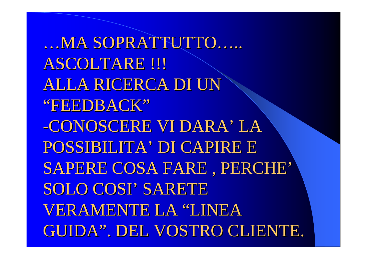...MA SOPRATTUTTO..... ASCOLTARE !!! **ALLA RICERCA DI UN** "FEEDBACK" -CONOSCERE VI DARA' LA POSSIBILITA' DI CAPIRE E SAPERE COSA FARE, PERCHE' SOLO COSI' SARETE **VERAMENTE LA "LINEA** GUIDA". DEL VOSTRO CLIENTE.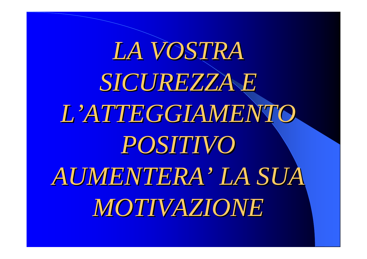*LA VOSTRA LA VOSTRA SICUREZZA E SICUREZZA E*   $L'ATTEGGIANENTO.$ *POSITIVO POSITIVO AUMENTERA AUMENTERA ' LA SUA MOTIVAZIONE MOTIVAZIONE*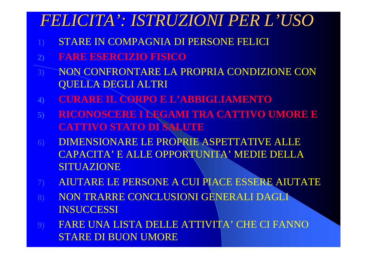### *FELICITA FELICITA': ISTRUZIONI PER L : ISTRUZIONI PER L'USO*

- 1) STARE IN COMPAGNIA DI PERSONE FELICI
- **2) FARE ESERCIZIO FISICO**
- 3) NON CONFRONTARE LA PROPRIA CONDIZIONE CON QUELLA DEGLI ALTRI
- **4) CURARE IL CORPO E L'ABBIGLIAMENTO**
- **5) RICONOSCERE I LEGAMI TRA CATTIVO UMORE E CATTIVO STATO DI SALUTE**
- 6) DIMENSIONARE LE PROPRIE ASPETTATIVE ALLE CAPACITA' E ALLE OPPORTUNITA' MEDIE DELLA SITUAZIONE
- 7) AIUTARE LE PERSONE A CUI PIACE ESSERE AIUTATE
- 8) NON TRARRE CONCLUSIONI GENERALI DAGLI **INSUCCESSI**
- 9) FARE UNA LISTA DELLE ATTIVITA' CHE CI FANNO STARE DI BUON UMORE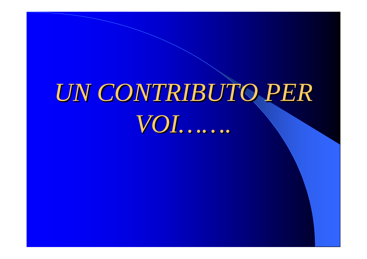# UN CONTRIBUTO PER VOI.......